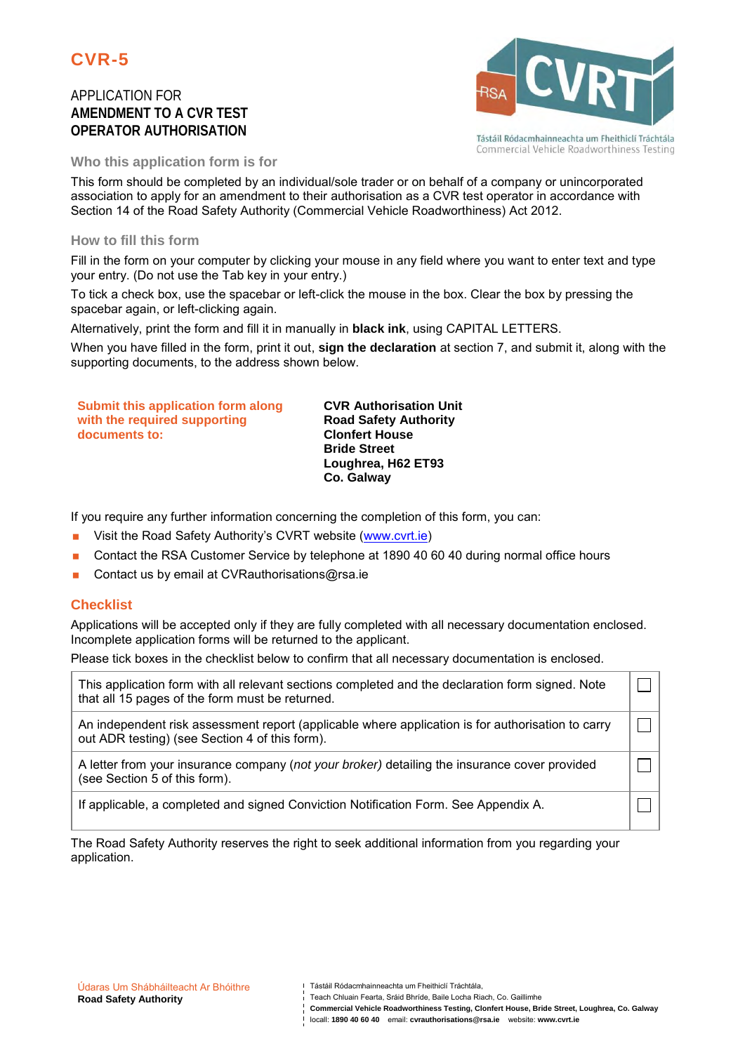

APPLICATION FOR **AMENDMENT TO A CVR TEST OPERATOR AUTHORISATION**



Commercial Vehicle Roadworthiness Testing

**Who this application form is for**

This form should be completed by an individual/sole trader or on behalf of a company or unincorporated association to apply for an amendment to their authorisation as a CVR test operator in accordance with Section 14 of the Road Safety Authority (Commercial Vehicle Roadworthiness) Act 2012.

### **How to fill this form**

Fill in the form on your computer by clicking your mouse in any field where you want to enter text and type your entry. (Do not use the Tab key in your entry.)

To tick a check box, use the spacebar or left-click the mouse in the box. Clear the box by pressing the spacebar again, or left-clicking again.

Alternatively, print the form and fill it in manually in **black ink**, using CAPITAL LETTERS.

When you have filled in the form, print it out, **sign the declaration** at section 7, and submit it, along with the supporting documents, to the address shown below.

| Submit this application form along | <b>CVR Authorisation Unit</b> |
|------------------------------------|-------------------------------|
| with the required supporting       | <b>Road Safety Authority</b>  |
| documents to:                      | <b>Clonfert House</b>         |
|                                    | <b>Bride Street</b>           |
|                                    | Loughrea, H62 ET93            |
|                                    | Co. Galway                    |

If you require any further information concerning the completion of this form, you can:

- **Nightlangilism** Visit the Road Safety Authority's CVRT website (www.cvrt.ie)
- Contact the RSA Customer Service by telephone at 1890 40 60 40 during normal office hours
- Contact us by email at CVRauthorisations@rsa.ie

### **Checklist**

Applications will be accepted only if they are fully completed with all necessary documentation enclosed. Incomplete application forms will be returned to the applicant.

Please tick boxes in the checklist below to confirm that all necessary documentation is enclosed.

| This application form with all relevant sections completed and the declaration form signed. Note<br>that all 15 pages of the form must be returned. |  |
|-----------------------------------------------------------------------------------------------------------------------------------------------------|--|
| An independent risk assessment report (applicable where application is for authorisation to carry<br>out ADR testing) (see Section 4 of this form). |  |
| A letter from your insurance company (not your broker) detailing the insurance cover provided<br>(see Section 5 of this form).                      |  |
| If applicable, a completed and signed Conviction Notification Form. See Appendix A.                                                                 |  |

The Road Safety Authority reserves the right to seek additional information from you regarding your application.

Teach Chluain Fearta, Sráid Bhríde, Baile Locha Riach, Co. Gaillimhe

Tástáil Ródacmhainneachta um Fheithiclí Tráchtála,

**Commercial Vehicle Roadworthiness Testing, Clonfert House, Bride Street, Loughrea, Co. Galway** locall: **1890 40 60 40** email: **cvrauthorisations@rsa.ie** website: **www.cvrt.ie**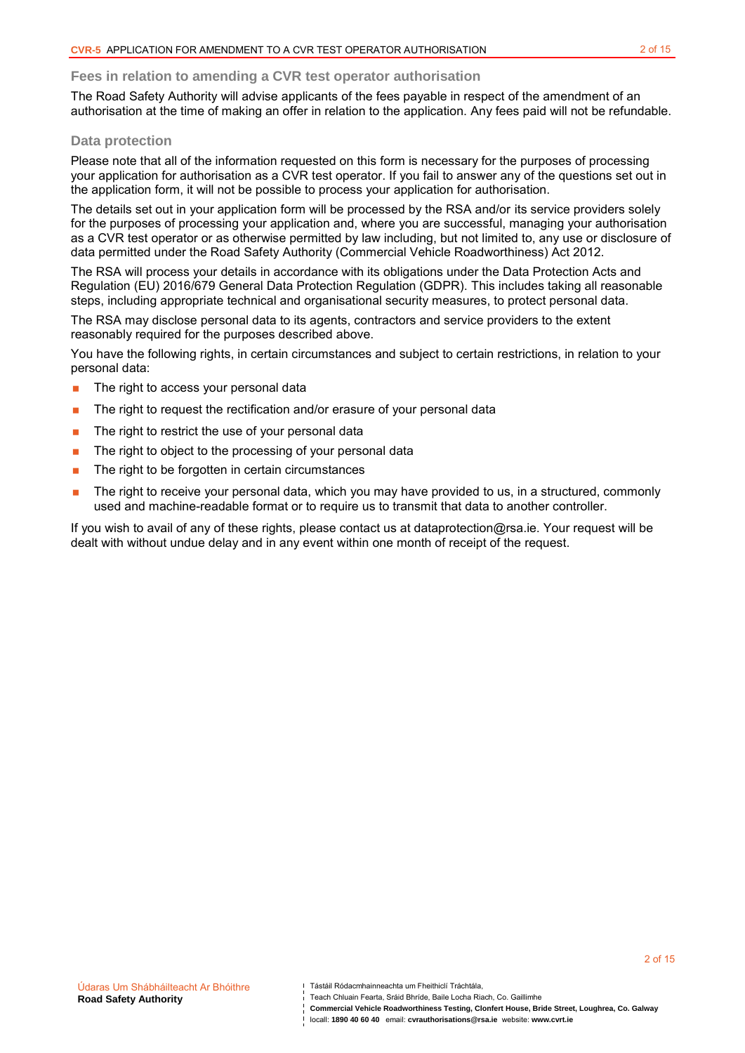#### **Fees in relation to amending a CVR test operator authorisation**

The Road Safety Authority will advise applicants of the fees payable in respect of the amendment of an authorisation at the time of making an offer in relation to the application. Any fees paid will not be refundable.

#### **Data protection**

Please note that all of the information requested on this form is necessary for the purposes of processing your application for authorisation as a CVR test operator. If you fail to answer any of the questions set out in the application form, it will not be possible to process your application for authorisation.

The details set out in your application form will be processed by the RSA and/or its service providers solely for the purposes of processing your application and, where you are successful, managing your authorisation as a CVR test operator or as otherwise permitted by law including, but not limited to, any use or disclosure of data permitted under the Road Safety Authority (Commercial Vehicle Roadworthiness) Act 2012.

The RSA will process your details in accordance with its obligations under the Data Protection Acts and Regulation (EU) 2016/679 General Data Protection Regulation (GDPR). This includes taking all reasonable steps, including appropriate technical and organisational security measures, to protect personal data.

The RSA may disclose personal data to its agents, contractors and service providers to the extent reasonably required for the purposes described above.

You have the following rights, in certain circumstances and subject to certain restrictions, in relation to your personal data:

- **The right to access your personal data**
- **The right to request the rectification and/or erasure of your personal data**
- $\blacksquare$  The right to restrict the use of your personal data
- The right to object to the processing of your personal data
- $\blacksquare$  The right to be forgotten in certain circumstances
- The right to receive your personal data, which you may have provided to us, in a structured, commonly used and machine-readable format or to require us to transmit that data to another controller.

If you wish to avail of any of these rights, please contact us at dataprotection@rsa.ie. Your request will be dealt with without undue delay and in any event within one month of receipt of the request.

Teach Chluain Fearta, Sráid Bhríde, Baile Locha Riach, Co. Gaillimhe

**Commercial Vehicle Roadworthiness Testing, Clonfert House, Bride Street, Loughrea, Co. Galway**

2 of 15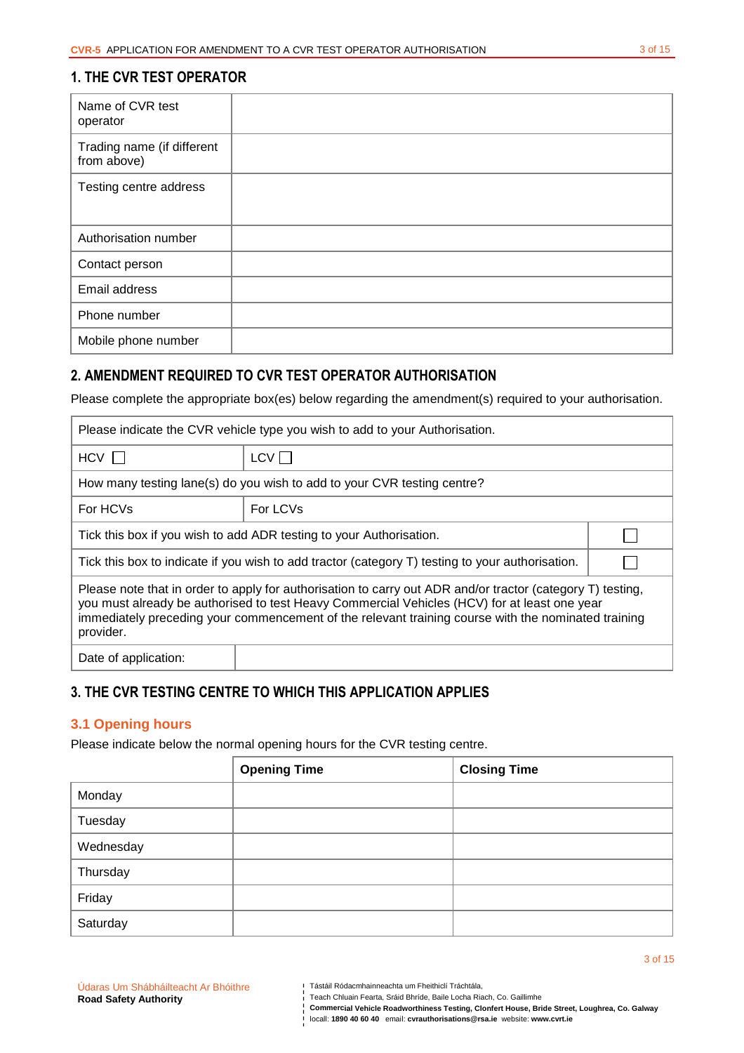# **1. THE CVR TEST OPERATOR**

| Name of CVR test<br>operator              |  |
|-------------------------------------------|--|
| Trading name (if different<br>from above) |  |
| Testing centre address                    |  |
| Authorisation number                      |  |
| Contact person                            |  |
| Email address                             |  |
| Phone number                              |  |
| Mobile phone number                       |  |

# **2. AMENDMENT REQUIRED TO CVR TEST OPERATOR AUTHORISATION**

Please complete the appropriate box(es) below regarding the amendment(s) required to your authorisation.

| Please indicate the CVR vehicle type you wish to add to your Authorisation.                                                                                                                                                                                                                                                    |                                                                         |  |
|--------------------------------------------------------------------------------------------------------------------------------------------------------------------------------------------------------------------------------------------------------------------------------------------------------------------------------|-------------------------------------------------------------------------|--|
| $HCV$ $\sqrt{2}$                                                                                                                                                                                                                                                                                                               | LCV                                                                     |  |
|                                                                                                                                                                                                                                                                                                                                | How many testing lane(s) do you wish to add to your CVR testing centre? |  |
| For LCVs<br>For HCVs                                                                                                                                                                                                                                                                                                           |                                                                         |  |
| Tick this box if you wish to add ADR testing to your Authorisation.                                                                                                                                                                                                                                                            |                                                                         |  |
| Tick this box to indicate if you wish to add tractor (category T) testing to your authorisation.                                                                                                                                                                                                                               |                                                                         |  |
| Please note that in order to apply for authorisation to carry out ADR and/or tractor (category T) testing,<br>you must already be authorised to test Heavy Commercial Vehicles (HCV) for at least one year<br>immediately preceding your commencement of the relevant training course with the nominated training<br>provider. |                                                                         |  |
| Date of application:                                                                                                                                                                                                                                                                                                           |                                                                         |  |

# **3. THE CVR TESTING CENTRE TO WHICH THIS APPLICATION APPLIES**

### **3.1 Opening hours**

Please indicate below the normal opening hours for the CVR testing centre.

|           | <b>Opening Time</b> | <b>Closing Time</b> |
|-----------|---------------------|---------------------|
| Monday    |                     |                     |
| Tuesday   |                     |                     |
| Wednesday |                     |                     |
| Thursday  |                     |                     |
| Friday    |                     |                     |
| Saturday  |                     |                     |

**Commercial Vehicle Roadworthiness Testing, Clonfert House, Bride Street, Loughrea, Co. Galway** 

locall: **1890 40 60 40** email: **cvrauthorisations@rsa.ie** website: **www.cvrt.ie**

3 of 15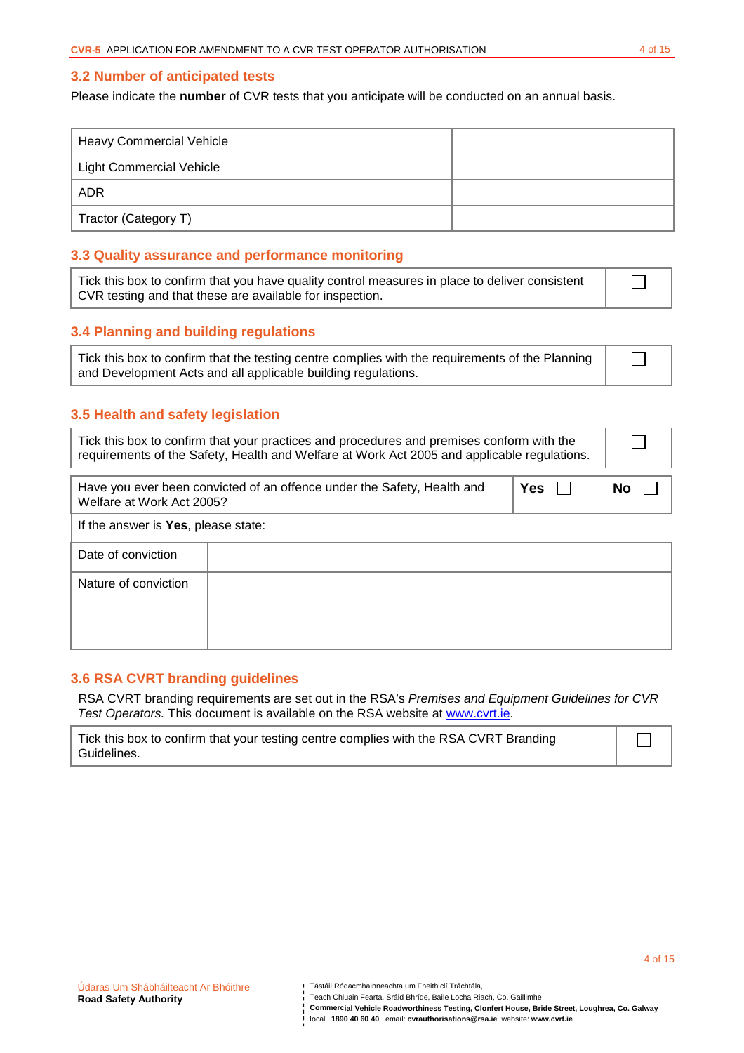### **3.2 Number of anticipated tests**

Please indicate the **number** of CVR tests that you anticipate will be conducted on an annual basis.

| <b>Heavy Commercial Vehicle</b> |  |
|---------------------------------|--|
| Light Commercial Vehicle        |  |
| <b>ADR</b>                      |  |
| Tractor (Category T)            |  |

## **3.3 Quality assurance and performance monitoring**

Tick this box to confirm that you have quality control measures in place to deliver consistent CVR testing and that these are available for inspection.

### **3.4 Planning and building regulations**

| Tick this box to confirm that the testing centre complies with the requirements of the Planning |  |
|-------------------------------------------------------------------------------------------------|--|
| and Development Acts and all applicable building regulations.                                   |  |

### **3.5 Health and safety legislation**

| Tick this box to confirm that your practices and procedures and premises conform with the<br>requirements of the Safety, Health and Welfare at Work Act 2005 and applicable regulations. |                                                                         |            |    |
|------------------------------------------------------------------------------------------------------------------------------------------------------------------------------------------|-------------------------------------------------------------------------|------------|----|
| Welfare at Work Act 2005?                                                                                                                                                                | Have you ever been convicted of an offence under the Safety, Health and | <b>Yes</b> | No |
| If the answer is Yes, please state:                                                                                                                                                      |                                                                         |            |    |
| Date of conviction                                                                                                                                                                       |                                                                         |            |    |
| Nature of conviction                                                                                                                                                                     |                                                                         |            |    |

# **3.6 RSA CVRT branding guidelines**

RSA CVRT branding requirements are set out in the RSA's Premises and Equipment Guidelines for CVR Test Operators. This document is available on the RSA website at www.cvrt.ie.

| Tick this box to confirm that your testing centre complies with the RSA CVRT Branding |  |
|---------------------------------------------------------------------------------------|--|
| Guidelines.                                                                           |  |

 $\Box$ 

П

Teach Chluain Fearta, Sráid Bhríde, Baile Locha Riach, Co. Gaillimhe

**Commercial Vehicle Roadworthiness Testing, Clonfert House, Bride Street, Loughrea, Co. Galway** 

locall: **1890 40 60 40** email: **cvrauthorisations@rsa.ie** website: **www.cvrt.ie**

П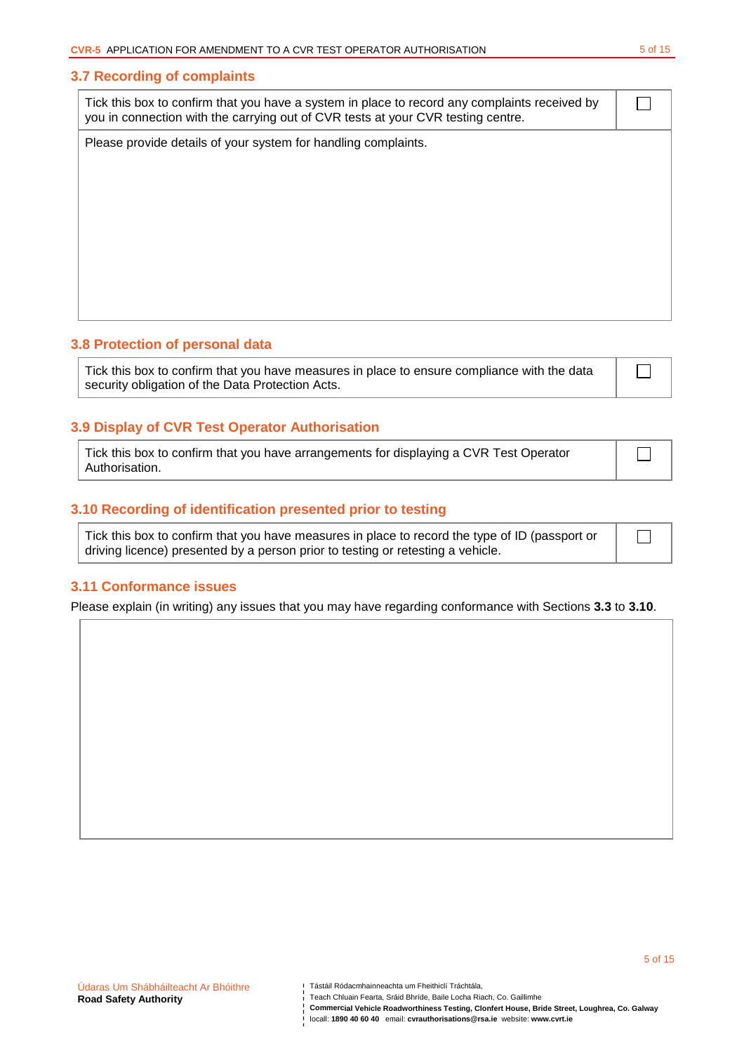#### **3.7 Recording of complaints**

| Tick this box to confirm that you have a system in place to record any complaints received by<br>you in connection with the carrying out of CVR tests at your CVR testing centre. |  |
|-----------------------------------------------------------------------------------------------------------------------------------------------------------------------------------|--|
| Please provide details of your system for handling complaints.                                                                                                                    |  |
|                                                                                                                                                                                   |  |
|                                                                                                                                                                                   |  |
|                                                                                                                                                                                   |  |
|                                                                                                                                                                                   |  |
|                                                                                                                                                                                   |  |
|                                                                                                                                                                                   |  |

#### **3.8 Protection of personal data**

Tick this box to confirm that you have measures in place to ensure compliance with the data security obligation of the Data Protection Acts.

 $\Box$ 

 $\Box$ 

5 of 15

### **3.9 Display of CVR Test Operator Authorisation**

Tick this box to confirm that you have arrangements for displaying a CVR Test Operator Authorisation.

### **3.10 Recording of identification presented prior to testing**

| Tick this box to confirm that you have measures in place to record the type of ID (passport or |  |  |
|------------------------------------------------------------------------------------------------|--|--|
| driving licence) presented by a person prior to testing or retesting a vehicle.                |  |  |

#### **3.11 Conformance issues**

Please explain (in writing) any issues that you may have regarding conformance with Sections **3.3** to **3.10**.

Teach Chluain Fearta, Sráid Bhríde, Baile Locha Riach, Co. Gaillimhe

**Commercial Vehicle Roadworthiness Testing, Clonfert House, Bride Street, Loughrea, Co. Galway**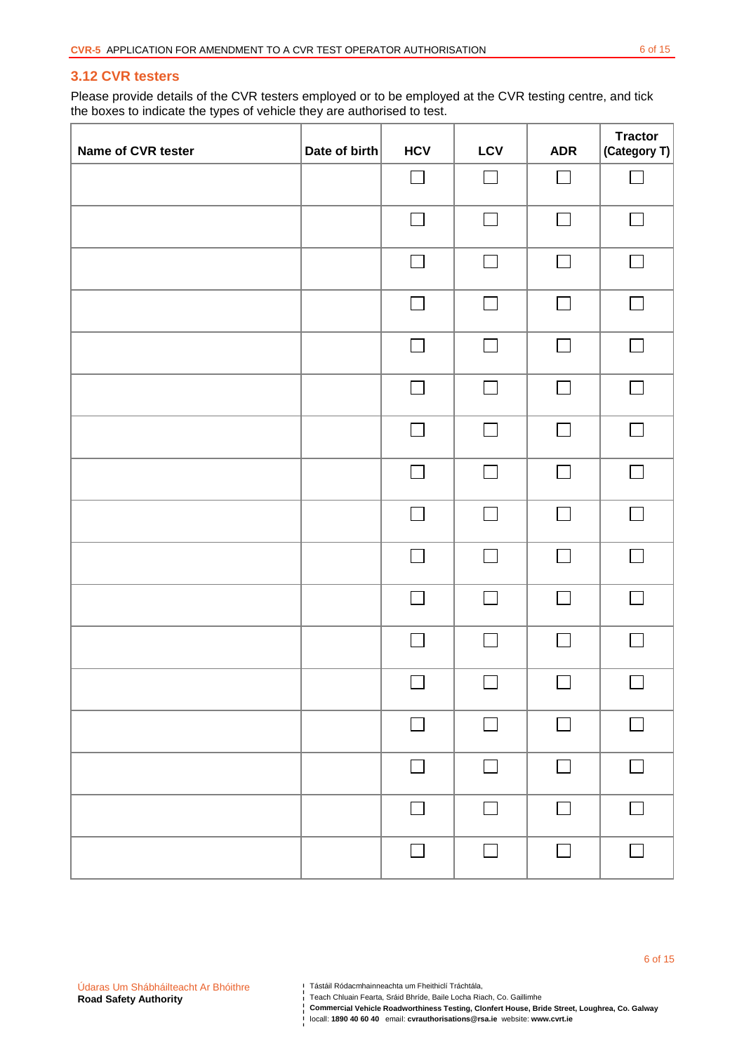### **3.12 CVR testers**

Please provide details of the CVR testers employed or to be employed at the CVR testing centre, and tick the boxes to indicate the types of vehicle they are authorised to test.

| Name of CVR tester | Date of birth | <b>HCV</b>        | LCV                      | <b>ADR</b>   | <b>Tractor</b><br>(Category T) |
|--------------------|---------------|-------------------|--------------------------|--------------|--------------------------------|
|                    |               | $\vert$ $\vert$   | $\Box$                   | $\Box$       | L.                             |
|                    |               | $\Box$            | $\Box$                   | $\mathbf{L}$ | $\Box$                         |
|                    |               | $\Box$            | $\Box$                   | $\Box$       | $\Box$                         |
|                    |               | $\Box$            | $\Box$                   | $\Box$       | $\Box$                         |
|                    |               | $\Box$            | $\Box$                   | $\Box$       | $\Box$                         |
|                    |               | $\Box$            | $\Box$                   | $\Box$       | $\Box$                         |
|                    |               | Г                 | $\Box$                   | I.           | $\mathbf{L}$                   |
|                    |               | $\Box$            | $\Box$                   | $\Box$       | $\Box$                         |
|                    |               | $\Box$            |                          |              | $\Box$                         |
|                    |               | $\vert \ \ \vert$ | $\sim$                   | $\sim$       | $\sim 10$                      |
|                    |               | $\Box$            | $\overline{\phantom{a}}$ | $\Box$       | $\Box$                         |
|                    |               | L                 | $\Box$                   |              |                                |
|                    |               | $\Box$            | $\Box$                   | $\Box$       | $\Box$                         |
|                    |               | П                 | П                        | П            | П                              |
|                    |               | П                 | $\Box$                   | $\Box$       | $\Box$                         |
|                    |               | $\Box$            | $\Box$                   | $\Box$       | $\Box$                         |
|                    |               | $\Box$            | $\Box$                   | $\Box$       | $\Box$                         |

Teach Chluain Fearta, Sráid Bhríde, Baile Locha Riach, Co. Gaillimhe

**Commercial Vehicle Roadworthiness Testing, Clonfert House, Bride Street, Loughrea, Co. Galway** 

Tástáil Ródacmhainneachta um Fheithiclí Tráchtála,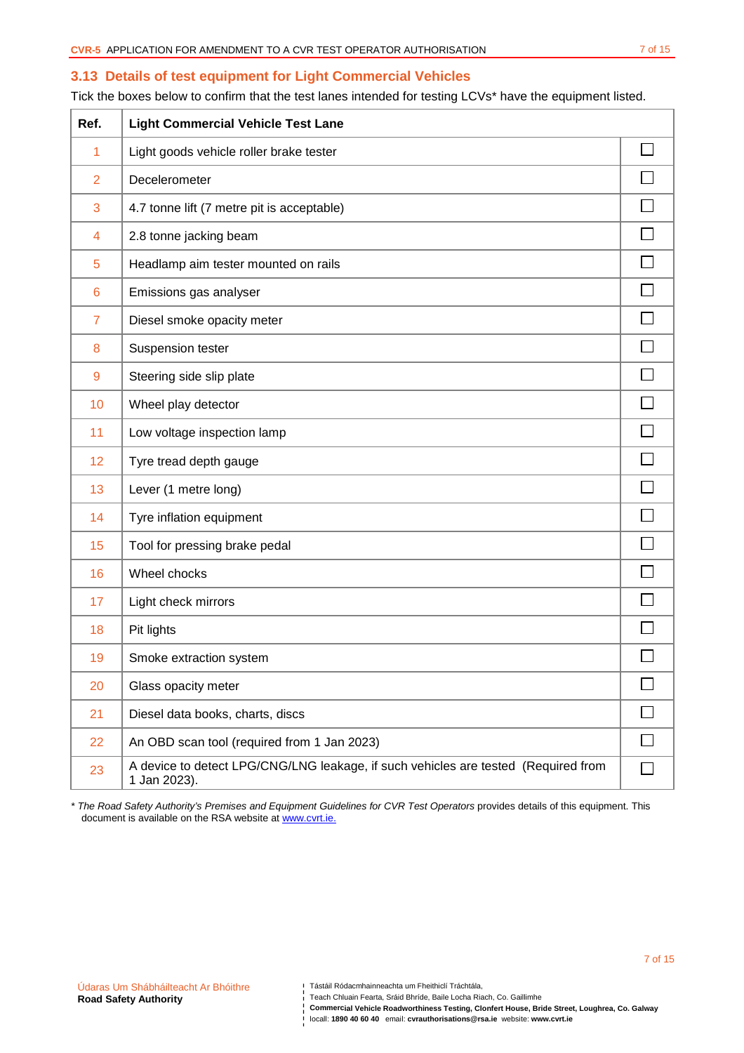### **3.13 Details of test equipment for Light Commercial Vehicles**

Tick the boxes below to confirm that the test lanes intended for testing LCVs\* have the equipment listed.

| Ref.           | <b>Light Commercial Vehicle Test Lane</b>                                                          |        |
|----------------|----------------------------------------------------------------------------------------------------|--------|
| 1              | Light goods vehicle roller brake tester                                                            |        |
| $\overline{2}$ | Decelerometer                                                                                      |        |
| 3              | 4.7 tonne lift (7 metre pit is acceptable)                                                         |        |
| 4              | 2.8 tonne jacking beam                                                                             |        |
| 5              | Headlamp aim tester mounted on rails                                                               |        |
| 6              | Emissions gas analyser                                                                             |        |
| $\overline{7}$ | Diesel smoke opacity meter                                                                         |        |
| 8              | Suspension tester                                                                                  |        |
| 9              | Steering side slip plate                                                                           |        |
| 10             | Wheel play detector                                                                                |        |
| 11             | Low voltage inspection lamp                                                                        |        |
| 12             | Tyre tread depth gauge                                                                             |        |
| 13             | Lever (1 metre long)                                                                               |        |
| 14             | Tyre inflation equipment                                                                           |        |
| 15             | Tool for pressing brake pedal                                                                      |        |
| 16             | Wheel chocks                                                                                       |        |
| 17             | Light check mirrors                                                                                |        |
| 18             | Pit lights                                                                                         |        |
| 19             | Smoke extraction system                                                                            |        |
| 20             | Glass opacity meter                                                                                |        |
| 21             | Diesel data books, charts, discs                                                                   |        |
| 22             | An OBD scan tool (required from 1 Jan 2023)                                                        | $\Box$ |
| 23             | A device to detect LPG/CNG/LNG leakage, if such vehicles are tested (Required from<br>1 Jan 2023). |        |

\* The Road Safety Authority's Premises and Equipment Guidelines for CVR Test Operators provides details of this equipment. This document is available on the RSA website at www.cvrt.ie.

**Commercial Vehicle Roadworthiness Testing, Clonfert House, Bride Street, Loughrea, Co. Galway** 

7 of 15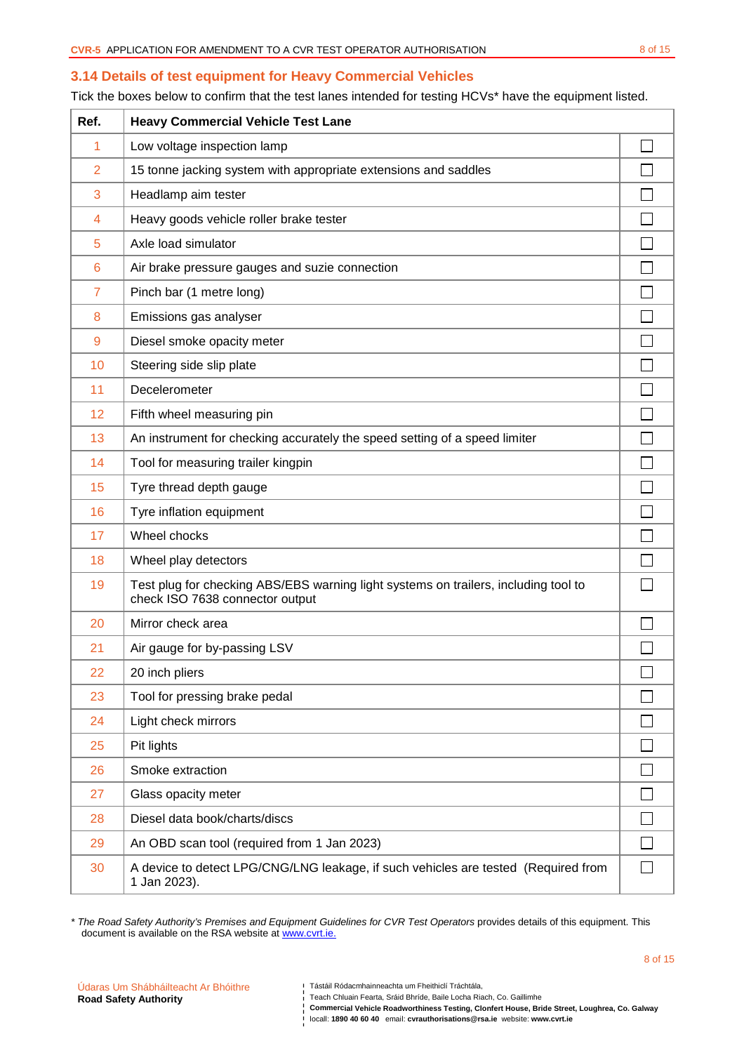### **3.14 Details of test equipment for Heavy Commercial Vehicles**

Tick the boxes below to confirm that the test lanes intended for testing HCVs\* have the equipment listed.

| Ref.           | <b>Heavy Commercial Vehicle Test Lane</b>                                                                              |        |
|----------------|------------------------------------------------------------------------------------------------------------------------|--------|
| 1              | Low voltage inspection lamp                                                                                            |        |
| $\overline{2}$ | 15 tonne jacking system with appropriate extensions and saddles                                                        |        |
| 3              | Headlamp aim tester                                                                                                    |        |
| 4              | Heavy goods vehicle roller brake tester                                                                                |        |
| 5              | Axle load simulator                                                                                                    |        |
| 6              | Air brake pressure gauges and suzie connection                                                                         |        |
| $\overline{7}$ | Pinch bar (1 metre long)                                                                                               |        |
| 8              | Emissions gas analyser                                                                                                 |        |
| $\overline{9}$ | Diesel smoke opacity meter                                                                                             |        |
| 10             | Steering side slip plate                                                                                               |        |
| 11             | Decelerometer                                                                                                          |        |
| 12             | Fifth wheel measuring pin                                                                                              |        |
| 13             | An instrument for checking accurately the speed setting of a speed limiter                                             |        |
| 14             | Tool for measuring trailer kingpin                                                                                     |        |
| 15             | Tyre thread depth gauge                                                                                                |        |
| 16             | Tyre inflation equipment                                                                                               |        |
| 17             | Wheel chocks                                                                                                           |        |
| 18             | Wheel play detectors                                                                                                   |        |
| 19             | Test plug for checking ABS/EBS warning light systems on trailers, including tool to<br>check ISO 7638 connector output |        |
| 20             | Mirror check area                                                                                                      |        |
| 21             | Air gauge for by-passing LSV                                                                                           |        |
| 22             | 20 inch pliers                                                                                                         | $\Box$ |
| 23             | Tool for pressing brake pedal                                                                                          |        |
| 24             | Light check mirrors                                                                                                    |        |
| 25             | Pit lights                                                                                                             |        |
| 26             | Smoke extraction                                                                                                       |        |
| 27             | Glass opacity meter                                                                                                    |        |
| 28             | Diesel data book/charts/discs                                                                                          |        |
| 29             | An OBD scan tool (required from 1 Jan 2023)                                                                            |        |
| 30             | A device to detect LPG/CNG/LNG leakage, if such vehicles are tested (Required from<br>1 Jan 2023).                     |        |

\* The Road Safety Authority's Premises and Equipment Guidelines for CVR Test Operators provides details of this equipment. This document is available on the RSA website at www.cvrt.ie.

Teach Chluain Fearta, Sráid Bhríde, Baile Locha Riach, Co. Gaillimhe

**Commercial Vehicle Roadworthiness Testing, Clonfert House, Bride Street, Loughrea, Co. Galway** 

8 of 15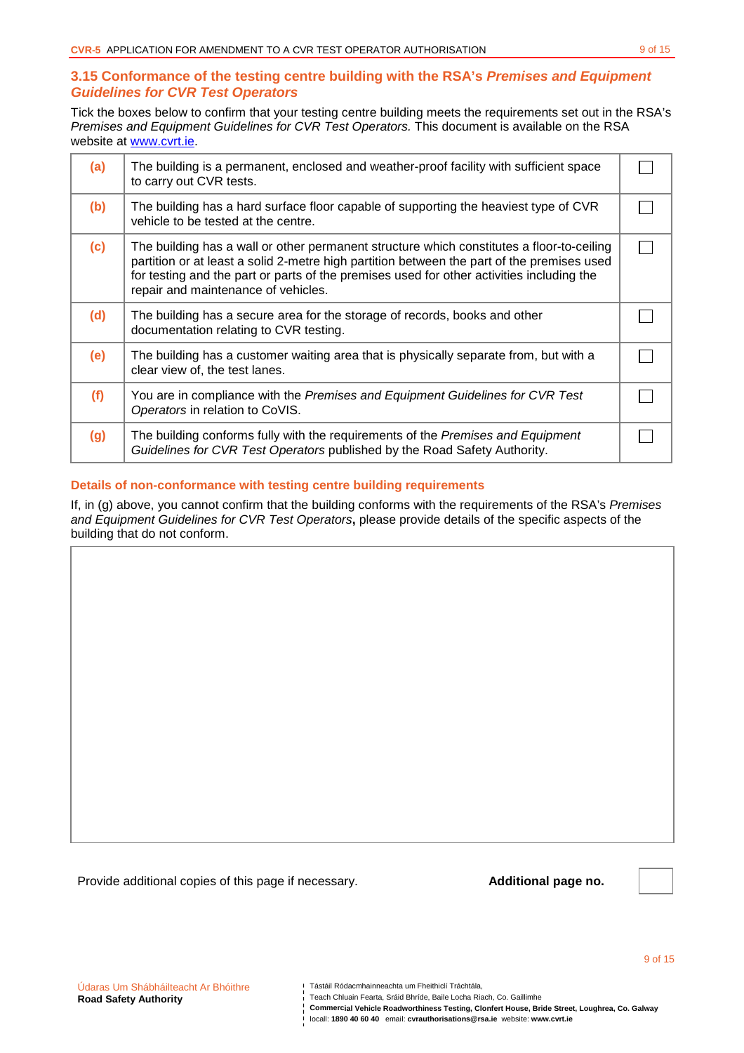# **3.15 Conformance of the testing centre building with the RSA's Premises and Equipment Guidelines for CVR Test Operators**

Tick the boxes below to confirm that your testing centre building meets the requirements set out in the RSA's Premises and Equipment Guidelines for CVR Test Operators. This document is available on the RSA website at www.cvrt.ie.

| (a) | The building is a permanent, enclosed and weather-proof facility with sufficient space<br>to carry out CVR tests.                                                                                                                                                                                                           |  |
|-----|-----------------------------------------------------------------------------------------------------------------------------------------------------------------------------------------------------------------------------------------------------------------------------------------------------------------------------|--|
| (b) | The building has a hard surface floor capable of supporting the heaviest type of CVR<br>vehicle to be tested at the centre.                                                                                                                                                                                                 |  |
| (c) | The building has a wall or other permanent structure which constitutes a floor-to-ceiling<br>partition or at least a solid 2-metre high partition between the part of the premises used<br>for testing and the part or parts of the premises used for other activities including the<br>repair and maintenance of vehicles. |  |
| (d) | The building has a secure area for the storage of records, books and other<br>documentation relating to CVR testing.                                                                                                                                                                                                        |  |
| (e) | The building has a customer waiting area that is physically separate from, but with a<br>clear view of, the test lanes.                                                                                                                                                                                                     |  |
| (f) | You are in compliance with the Premises and Equipment Guidelines for CVR Test<br>Operators in relation to CoVIS.                                                                                                                                                                                                            |  |
| (g) | The building conforms fully with the requirements of the Premises and Equipment<br>Guidelines for CVR Test Operators published by the Road Safety Authority.                                                                                                                                                                |  |

## **Details of non-conformance with testing centre building requirements**

If, in (g) above, you cannot confirm that the building conforms with the requirements of the RSA's Premises and Equipment Guidelines for CVR Test Operators**,** please provide details of the specific aspects of the building that do not conform.

Provide additional copies of this page if necessary. **Additional page no.** 



9 of 15

**Commercial Vehicle Roadworthiness Testing, Clonfert House, Bride Street, Loughrea, Co. Galway** 

Tástáil Ródacmhainneachta um Fheithiclí Tráchtála,

locall: **1890 40 60 40** email: **cvrauthorisations@rsa.ie** website: **www.cvrt.ie**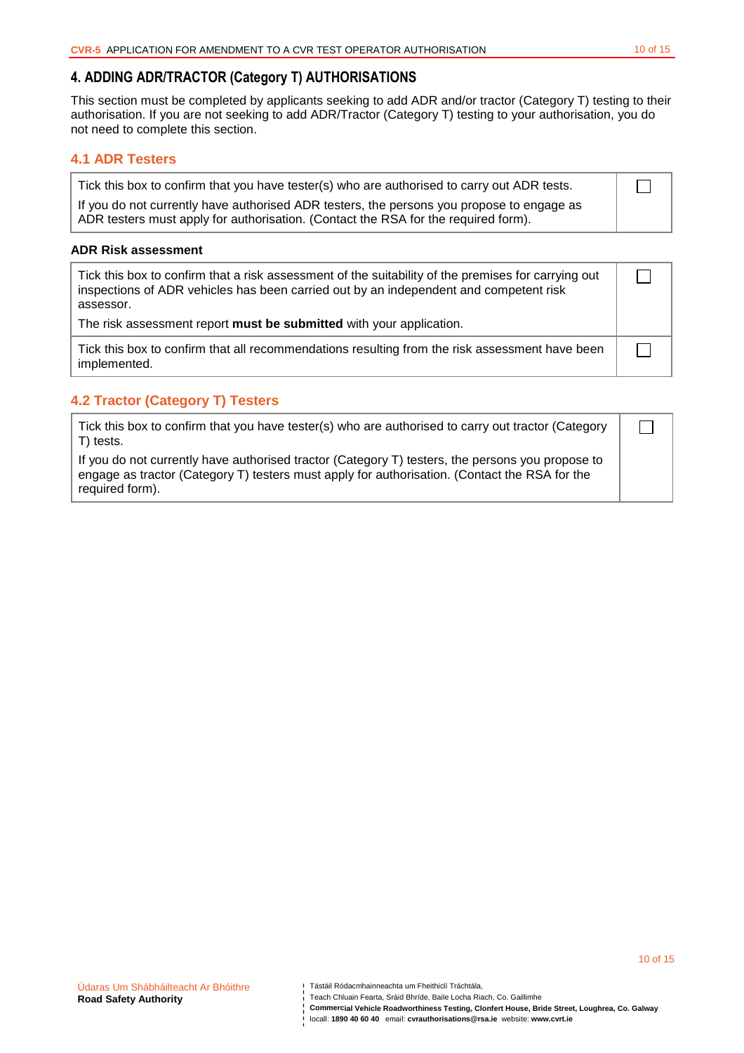$\Box$ 

10 of 15

# **4. ADDING ADR/TRACTOR (Category T) AUTHORISATIONS**

This section must be completed by applicants seeking to add ADR and/or tractor (Category T) testing to their authorisation. If you are not seeking to add ADR/Tractor (Category T) testing to your authorisation, you do not need to complete this section.

# **4.1 ADR Testers**

| Tick this box to confirm that you have tester(s) who are authorised to carry out ADR tests. |
|---------------------------------------------------------------------------------------------|
| If you do not currently have authorised ADR testers, the persons you propose to engage as   |
| ADR testers must apply for authorisation. (Contact the RSA for the required form).          |

#### **ADR Risk assessment**

| Tick this box to confirm that a risk assessment of the suitability of the premises for carrying out<br>inspections of ADR vehicles has been carried out by an independent and competent risk<br>assessor. |  |
|-----------------------------------------------------------------------------------------------------------------------------------------------------------------------------------------------------------|--|
| The risk assessment report must be submitted with your application.                                                                                                                                       |  |
| Tick this box to confirm that all recommendations resulting from the risk assessment have been<br>implemented.                                                                                            |  |

# **4.2 Tractor (Category T) Testers**

| Tick this box to confirm that you have tester(s) who are authorised to carry out tractor (Category |  |
|----------------------------------------------------------------------------------------------------|--|
| T) tests.                                                                                          |  |
| If you do not currently have authorized tractor (Category T) testers the nersons you propose to    |  |

If you do not currently have authorised tractor (Category T) testers, the persons you propose to engage as tractor (Category T) testers must apply for authorisation. (Contact the RSA for the required form).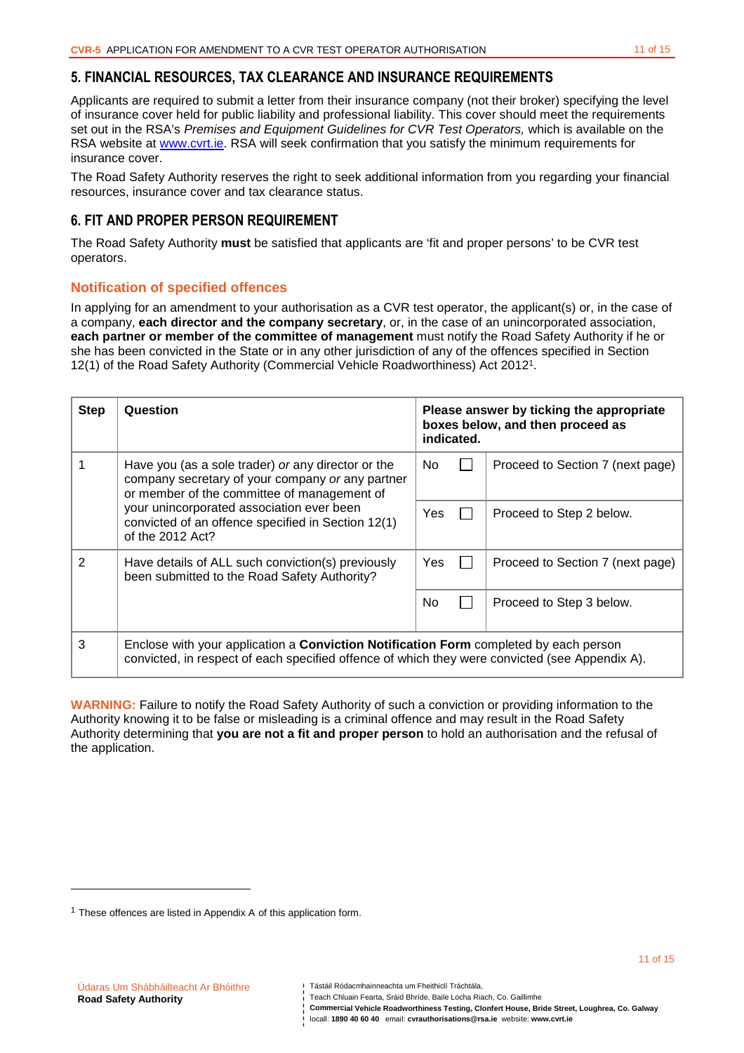# **5. FINANCIAL RESOURCES, TAX CLEARANCE AND INSURANCE REQUIREMENTS**

Applicants are required to submit a letter from their insurance company (not their broker) specifying the level of insurance cover held for public liability and professional liability. This cover should meet the requirements set out in the RSA's Premises and Equipment Guidelines for CVR Test Operators, which is available on the RSA website at www.cvrt.ie. RSA will seek confirmation that you satisfy the minimum requirements for insurance cover.

The Road Safety Authority reserves the right to seek additional information from you regarding your financial resources, insurance cover and tax clearance status.

# **6. FIT AND PROPER PERSON REQUIREMENT**

The Road Safety Authority **must** be satisfied that applicants are 'fit and proper persons' to be CVR test operators.

## **Notification of specified offences**

In applying for an amendment to your authorisation as a CVR test operator, the applicant(s) or, in the case of a company, **each director and the company secretary**, or, in the case of an unincorporated association, **each partner or member of the committee of management** must notify the Road Safety Authority if he or she has been convicted in the State or in any other jurisdiction of any of the offences specified in Section 12(1) of the Road Safety Authority (Commercial Vehicle Roadworthiness) Act 2012<sup>1</sup> .

| <b>Step</b>                                                                                                         | Question                                                                                                                                                                                       | Please answer by ticking the appropriate<br>boxes below, and then proceed as<br>indicated. |  |                                  |
|---------------------------------------------------------------------------------------------------------------------|------------------------------------------------------------------------------------------------------------------------------------------------------------------------------------------------|--------------------------------------------------------------------------------------------|--|----------------------------------|
|                                                                                                                     | Have you (as a sole trader) or any director or the<br>No.<br>company secretary of your company or any partner<br>or member of the committee of management of                                   |                                                                                            |  | Proceed to Section 7 (next page) |
| your unincorporated association ever been<br>convicted of an offence specified in Section 12(1)<br>of the 2012 Act? |                                                                                                                                                                                                | Yes                                                                                        |  | Proceed to Step 2 below.         |
| $\mathcal{P}$                                                                                                       | Have details of ALL such conviction(s) previously<br>been submitted to the Road Safety Authority?                                                                                              | Yes                                                                                        |  | Proceed to Section 7 (next page) |
|                                                                                                                     |                                                                                                                                                                                                | No.                                                                                        |  | Proceed to Step 3 below.         |
| 3                                                                                                                   | Enclose with your application a <b>Conviction Notification Form</b> completed by each person<br>convicted, in respect of each specified offence of which they were convicted (see Appendix A). |                                                                                            |  |                                  |

**WARNING:** Failure to notify the Road Safety Authority of such a conviction or providing information to the Authority knowing it to be false or misleading is a criminal offence and may result in the Road Safety Authority determining that **you are not a fit and proper person** to hold an authorisation and the refusal of the application.

l

Teach Chluain Fearta, Sráid Bhríde, Baile Locha Riach, Co. Gaillimhe

**Commercial Vehicle Roadworthiness Testing, Clonfert House, Bride Street, Loughrea, Co. Galway** 

 $1$  These offences are listed in Appendix A of this application form.

Tástáil Ródacmhainneachta um Fheithiclí Tráchtála,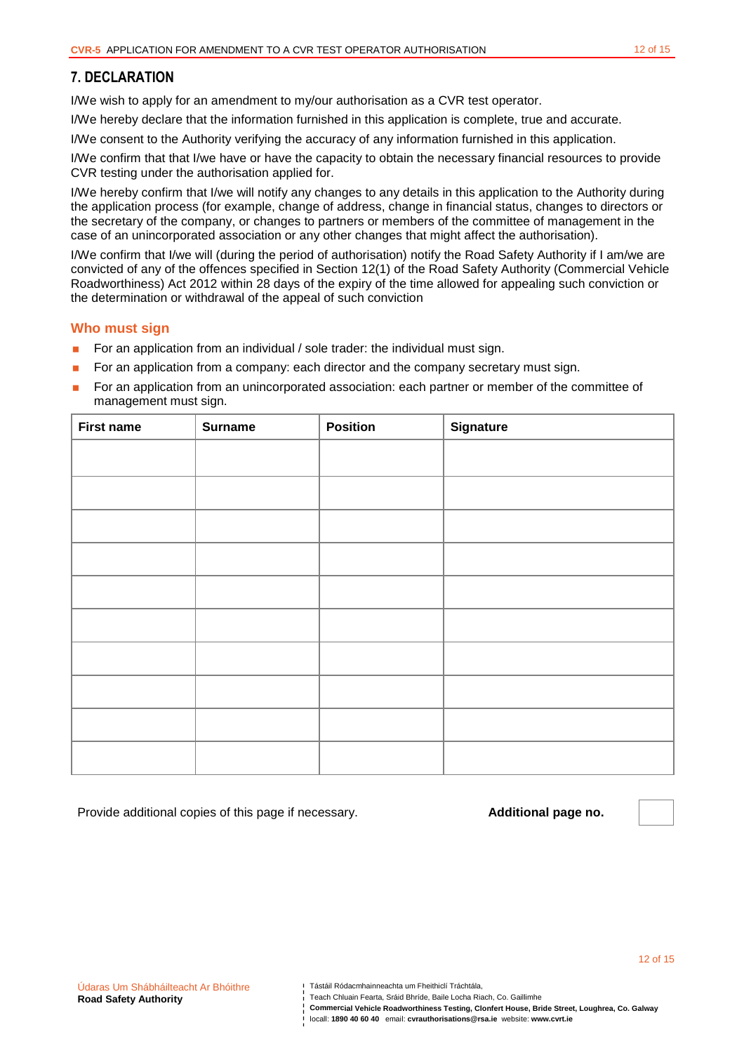# **7. DECLARATION**

I/We wish to apply for an amendment to my/our authorisation as a CVR test operator.

I/We hereby declare that the information furnished in this application is complete, true and accurate.

I/We consent to the Authority verifying the accuracy of any information furnished in this application.

I/We confirm that that I/we have or have the capacity to obtain the necessary financial resources to provide CVR testing under the authorisation applied for.

I/We hereby confirm that I/we will notify any changes to any details in this application to the Authority during the application process (for example, change of address, change in financial status, changes to directors or the secretary of the company, or changes to partners or members of the committee of management in the case of an unincorporated association or any other changes that might affect the authorisation).

I/We confirm that I/we will (during the period of authorisation) notify the Road Safety Authority if I am/we are convicted of any of the offences specified in Section 12(1) of the Road Safety Authority (Commercial Vehicle Roadworthiness) Act 2012 within 28 days of the expiry of the time allowed for appealing such conviction or the determination or withdrawal of the appeal of such conviction

### **Who must sign**

- For an application from an individual  $/$  sole trader: the individual must sign.
- **For an application from a company: each director and the company secretary must sign.**
- For an application from an unincorporated association: each partner or member of the committee of management must sign.

| <b>First name</b> | <b>Surname</b> | <b>Position</b> | <b>Signature</b> |
|-------------------|----------------|-----------------|------------------|
|                   |                |                 |                  |
|                   |                |                 |                  |
|                   |                |                 |                  |
|                   |                |                 |                  |
|                   |                |                 |                  |
|                   |                |                 |                  |
|                   |                |                 |                  |
|                   |                |                 |                  |
|                   |                |                 |                  |
|                   |                |                 |                  |

Provide additional copies of this page if necessary. **Additional page no.** 

Teach Chluain Fearta, Sráid Bhríde, Baile Locha Riach, Co. Gaillimhe

**Commercial Vehicle Roadworthiness Testing, Clonfert House, Bride Street, Loughrea, Co. Galway**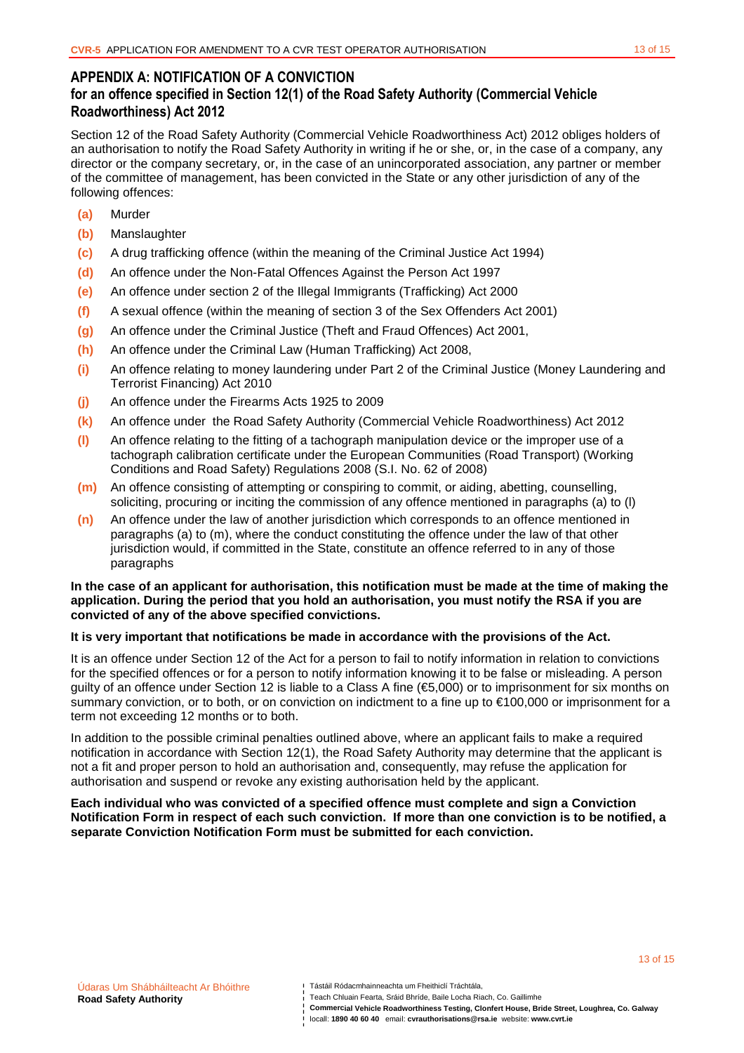13 of 15

# **APPENDIX A: NOTIFICATION OF A CONVICTION for an offence specified in Section 12(1) of the Road Safety Authority (Commercial Vehicle Roadworthiness) Act 2012**

Section 12 of the Road Safety Authority (Commercial Vehicle Roadworthiness Act) 2012 obliges holders of an authorisation to notify the Road Safety Authority in writing if he or she, or, in the case of a company, any director or the company secretary, or, in the case of an unincorporated association, any partner or member of the committee of management, has been convicted in the State or any other jurisdiction of any of the following offences:

- **(a)** Murder
- **(b)** Manslaughter
- **(c)** A drug trafficking offence (within the meaning of the Criminal Justice Act 1994)
- **(d)** An offence under the Non-Fatal Offences Against the Person Act 1997
- **(e)** An offence under section 2 of the Illegal Immigrants (Trafficking) Act 2000
- **(f)** A sexual offence (within the meaning of section 3 of the Sex Offenders Act 2001)
- **(g)** An offence under the Criminal Justice (Theft and Fraud Offences) Act 2001,
- **(h)** An offence under the Criminal Law (Human Trafficking) Act 2008,
- **(i)** An offence relating to money laundering under Part 2 of the Criminal Justice (Money Laundering and Terrorist Financing) Act 2010
- **(j)** An offence under the Firearms Acts 1925 to 2009
- **(k)** An offence under the Road Safety Authority (Commercial Vehicle Roadworthiness) Act 2012
- **(l)** An offence relating to the fitting of a tachograph manipulation device or the improper use of a tachograph calibration certificate under the European Communities (Road Transport) (Working Conditions and Road Safety) Regulations 2008 (S.I. No. 62 of 2008)
- **(m)** An offence consisting of attempting or conspiring to commit, or aiding, abetting, counselling, soliciting, procuring or inciting the commission of any offence mentioned in paragraphs (a) to (l)
- **(n)** An offence under the law of another jurisdiction which corresponds to an offence mentioned in paragraphs (a) to (m), where the conduct constituting the offence under the law of that other jurisdiction would, if committed in the State, constitute an offence referred to in any of those paragraphs

#### **In the case of an applicant for authorisation, this notification must be made at the time of making the application. During the period that you hold an authorisation, you must notify the RSA if you are convicted of any of the above specified convictions.**

## **It is very important that notifications be made in accordance with the provisions of the Act.**

It is an offence under Section 12 of the Act for a person to fail to notify information in relation to convictions for the specified offences or for a person to notify information knowing it to be false or misleading. A person guilty of an offence under Section 12 is liable to a Class A fine (€5,000) or to imprisonment for six months on summary conviction, or to both, or on conviction on indictment to a fine up to €100,000 or imprisonment for a term not exceeding 12 months or to both.

In addition to the possible criminal penalties outlined above, where an applicant fails to make a required notification in accordance with Section 12(1), the Road Safety Authority may determine that the applicant is not a fit and proper person to hold an authorisation and, consequently, may refuse the application for authorisation and suspend or revoke any existing authorisation held by the applicant.

**Each individual who was convicted of a specified offence must complete and sign a Conviction Notification Form in respect of each such conviction. If more than one conviction is to be notified, a separate Conviction Notification Form must be submitted for each conviction.** 

Teach Chluain Fearta, Sráid Bhríde, Baile Locha Riach, Co. Gaillimhe

**Commercial Vehicle Roadworthiness Testing, Clonfert House, Bride Street, Loughrea, Co. Galway** 

Tástáil Ródacmhainneachta um Fheithiclí Tráchtála,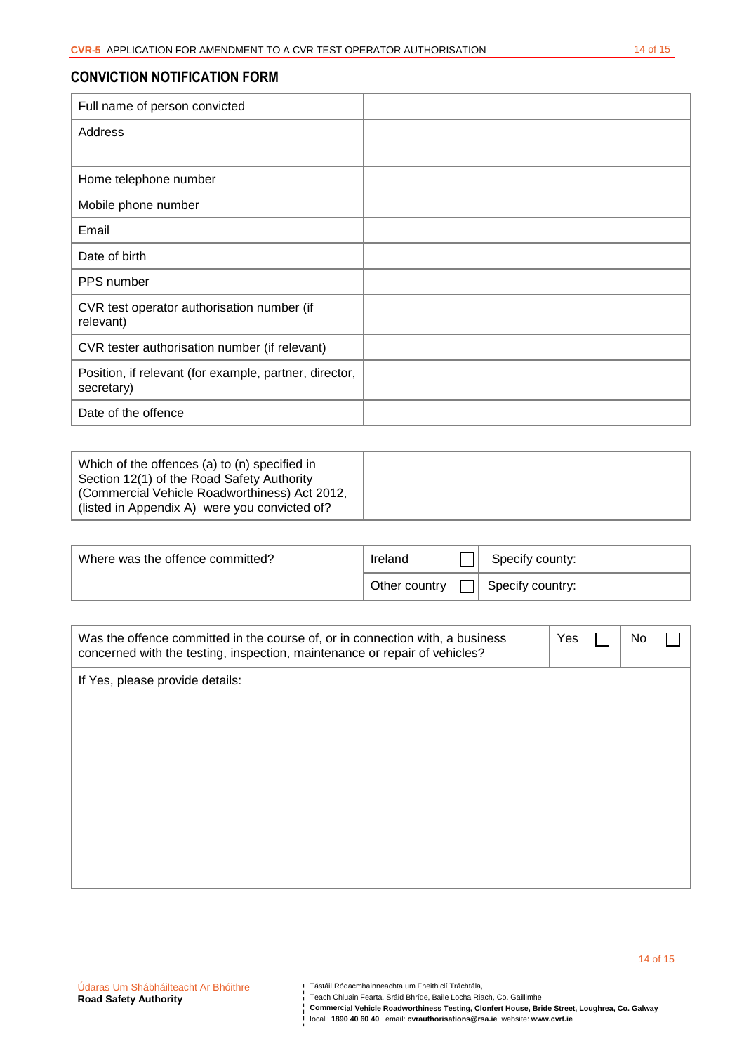# **CONVICTION NOTIFICATION FORM**

| Full name of person convicted                                        |  |
|----------------------------------------------------------------------|--|
| Address                                                              |  |
|                                                                      |  |
| Home telephone number                                                |  |
| Mobile phone number                                                  |  |
| Email                                                                |  |
| Date of birth                                                        |  |
| PPS number                                                           |  |
| CVR test operator authorisation number (if<br>relevant)              |  |
| CVR tester authorisation number (if relevant)                        |  |
| Position, if relevant (for example, partner, director,<br>secretary) |  |
| Date of the offence                                                  |  |

| Which of the offences (a) to (n) specified in<br>Section 12(1) of the Road Safety Authority    |  |
|------------------------------------------------------------------------------------------------|--|
| (Commercial Vehicle Roadworthiness) Act 2012,<br>(listed in Appendix A) were you convicted of? |  |

| Where was the offence committed? | Ireland         | Specify county:  |
|----------------------------------|-----------------|------------------|
|                                  | ∂ Other country | Specify country: |

| Was the offence committed in the course of, or in connection with, a business<br>concerned with the testing, inspection, maintenance or repair of vehicles? | Yes | No |  |
|-------------------------------------------------------------------------------------------------------------------------------------------------------------|-----|----|--|
| If Yes, please provide details:                                                                                                                             |     |    |  |
|                                                                                                                                                             |     |    |  |
|                                                                                                                                                             |     |    |  |
|                                                                                                                                                             |     |    |  |
|                                                                                                                                                             |     |    |  |
|                                                                                                                                                             |     |    |  |
|                                                                                                                                                             |     |    |  |
|                                                                                                                                                             |     |    |  |
|                                                                                                                                                             |     |    |  |

Teach Chluain Fearta, Sráid Bhríde, Baile Locha Riach, Co. Gaillimhe

**Commercial Vehicle Roadworthiness Testing, Clonfert House, Bride Street, Loughrea, Co. Galway**  locall: **1890 40 60 40** email: **cvrauthorisations@rsa.ie** website: **www.cvrt.ie**